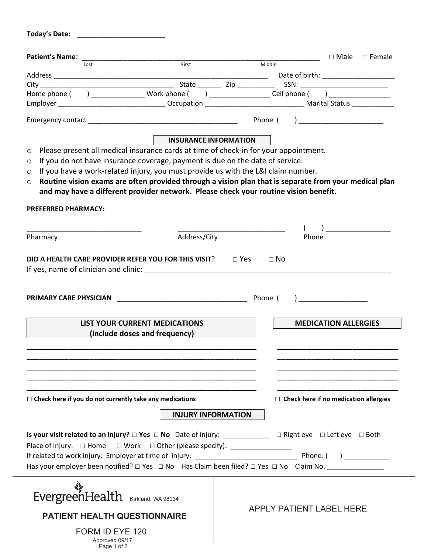|                                                                                                                                                                                                                                                                                                                                                                                                                                                                                             |                                                                       |        | $\Box$ Male<br>$\square$ Female              |
|---------------------------------------------------------------------------------------------------------------------------------------------------------------------------------------------------------------------------------------------------------------------------------------------------------------------------------------------------------------------------------------------------------------------------------------------------------------------------------------------|-----------------------------------------------------------------------|--------|----------------------------------------------|
| Last                                                                                                                                                                                                                                                                                                                                                                                                                                                                                        | First                                                                 | Middle |                                              |
|                                                                                                                                                                                                                                                                                                                                                                                                                                                                                             |                                                                       |        | Date of birth: ____________________          |
|                                                                                                                                                                                                                                                                                                                                                                                                                                                                                             |                                                                       |        |                                              |
| Home phone ( ) ___________________ Work phone ( ) _____________________Cell phone ( ) ___________________                                                                                                                                                                                                                                                                                                                                                                                   |                                                                       |        |                                              |
|                                                                                                                                                                                                                                                                                                                                                                                                                                                                                             |                                                                       |        |                                              |
|                                                                                                                                                                                                                                                                                                                                                                                                                                                                                             |                                                                       |        |                                              |
|                                                                                                                                                                                                                                                                                                                                                                                                                                                                                             | <b>INSURANCE INFORMATION</b>                                          |        |                                              |
| Please present all medical insurance cards at time of check-in for your appointment.<br>$\circ$<br>If you do not have insurance coverage, payment is due on the date of service.<br>O<br>If you have a work-related injury, you must provide us with the L&I claim number.<br>O<br>Routine vision exams are often provided through a vision plan that is separate from your medical plan<br>$\circ$<br>and may have a different provider network. Please check your routine vision benefit. |                                                                       |        |                                              |
| <b>PREFERRED PHARMACY:</b>                                                                                                                                                                                                                                                                                                                                                                                                                                                                  |                                                                       |        |                                              |
|                                                                                                                                                                                                                                                                                                                                                                                                                                                                                             |                                                                       |        | ) and the set of $\overline{a}$              |
| Pharmacy                                                                                                                                                                                                                                                                                                                                                                                                                                                                                    | Address/City                                                          | Phone  |                                              |
|                                                                                                                                                                                                                                                                                                                                                                                                                                                                                             | <b>LIST YOUR CURRENT MEDICATIONS</b><br>(include doses and frequency) |        | <b>MEDICATION ALLERGIES</b>                  |
|                                                                                                                                                                                                                                                                                                                                                                                                                                                                                             |                                                                       |        |                                              |
|                                                                                                                                                                                                                                                                                                                                                                                                                                                                                             |                                                                       |        | $\Box$ Check here if no medication allergies |
|                                                                                                                                                                                                                                                                                                                                                                                                                                                                                             |                                                                       |        |                                              |
| $\Box$ Check here if you do not currently take any medications                                                                                                                                                                                                                                                                                                                                                                                                                              | <b>INJURY INFORMATION</b>                                             |        |                                              |
| Place of injury: □ Home □ Work □ Other (please specify): _________________                                                                                                                                                                                                                                                                                                                                                                                                                  |                                                                       |        |                                              |